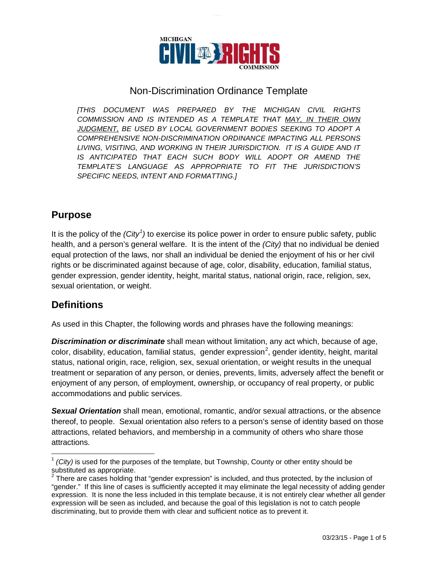

#### Non-Discrimination Ordinance Template

*[THIS DOCUMENT WAS PREPARED BY THE MICHIGAN CIVIL RIGHTS COMMISSION AND IS INTENDED AS A TEMPLATE THAT MAY, IN THEIR OWN JUDGMENT, BE USED BY LOCAL GOVERNMENT BODIES SEEKING TO ADOPT A COMPREHENSIVE NON-DISCRIMINATION ORDINANCE IMPACTING ALL PERSONS LIVING, VISITING, AND WORKING IN THEIR JURISDICTION. IT IS A GUIDE AND IT IS ANTICIPATED THAT EACH SUCH BODY WILL ADOPT OR AMEND THE TEMPLATE'S LANGUAGE AS APPROPRIATE TO FIT THE JURISDICTION'S SPECIFIC NEEDS, INTENT AND FORMATTING.]*

### **Purpose**

It is the policy of the *(City<sup>[1](#page-4-0)</sup>)* to exercise its police power in order to ensure public safety, public health, and a person's general welfare. It is the intent of the *(City)* that no individual be denied equal protection of the laws, nor shall an individual be denied the enjoyment of his or her civil rights or be discriminated against because of age, color, disability, education, familial status, gender expression, gender identity, height, marital status, national origin, race, religion, sex, sexual orientation, or weight.

## **Definitions**

As used in this Chapter, the following words and phrases have the following meanings:

*Discrimination or discriminate* shall mean without limitation, any act which, because of age, color, disability, education, familial status, gender expression<sup>[2](#page-0-0)</sup>, gender identity, height, marital status, national origin, race, religion, sex, sexual orientation, or weight results in the unequal treatment or separation of any person, or denies, prevents, limits, adversely affect the benefit or enjoyment of any person, of employment, ownership, or occupancy of real property, or public accommodations and public services.

*Sexual Orientation* shall mean, emotional, romantic, and/or sexual attractions, or the absence thereof, to people. Sexual orientation also refers to a person's sense of identity based on those attractions, related behaviors, and membership in a community of others who share those attractions.

<sup>&</sup>lt;sup>1</sup> *(City)* is used for the purposes of the template, but Township, County or other entity should be substituted as appropriate.

<span id="page-0-0"></span> $2$  There are cases holding that "gender expression" is included, and thus protected, by the inclusion of "gender." If this line of cases is sufficiently accepted it may eliminate the legal necessity of adding gender expression. It is none the less included in this template because, it is not entirely clear whether all gender expression will be seen as included, and because the goal of this legislation is not to catch people discriminating, but to provide them with clear and sufficient notice as to prevent it.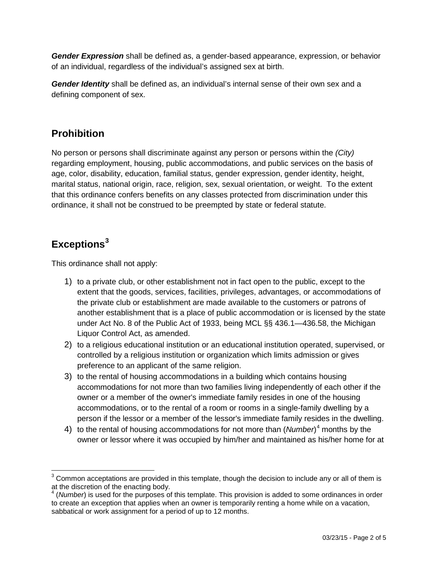*Gender Expression* shall be defined as, a gender-based appearance, expression, or behavior of an individual, regardless of the individual's assigned sex at birth.

*Gender Identity* shall be defined as, an individual's internal sense of their own sex and a defining component of sex.

## **Prohibition**

No person or persons shall discriminate against any person or persons within the *(City)* regarding employment, housing, public accommodations, and public services on the basis of age, color, disability, education, familial status, gender expression, gender identity, height, marital status, national origin, race, religion, sex, sexual orientation, or weight. To the extent that this ordinance confers benefits on any classes protected from discrimination under this ordinance, it shall not be construed to be preempted by state or federal statute.

# **Exceptions[3](#page-0-0)**

This ordinance shall not apply:

- 1) to a private club, or other establishment not in fact open to the public, except to the extent that the goods, services, facilities, privileges, advantages, or accommodations of the private club or establishment are made available to the customers or patrons of another establishment that is a place of public accommodation or is licensed by the state under Act No. 8 of the Public Act of 1933, being MCL §§ 436.1—436.58, the Michigan Liquor Control Act, as amended.
- 2) to a religious educational institution or an educational institution operated, supervised, or controlled by a religious institution or organization which limits admission or gives preference to an applicant of the same religion.
- 3) to the rental of housing accommodations in a building which contains housing accommodations for not more than two families living independently of each other if the owner or a member of the owner's immediate family resides in one of the housing accommodations, or to the rental of a room or rooms in a single-family dwelling by a person if the lessor or a member of the lessor's immediate family resides in the dwelling.
- 4) to the rental of housing accommodations for not more than (*Number*) [4](#page-1-0) months by the owner or lessor where it was occupied by him/her and maintained as his/her home for at

 $3$  Common acceptations are provided in this template, though the decision to include any or all of them is at the discretion of the enacting body.

<span id="page-1-0"></span><sup>&</sup>lt;sup>4</sup> (*Number*) is used for the purposes of this template. This provision is added to some ordinances in order to create an exception that applies when an owner is temporarily renting a home while on a vacation, sabbatical or work assignment for a period of up to 12 months.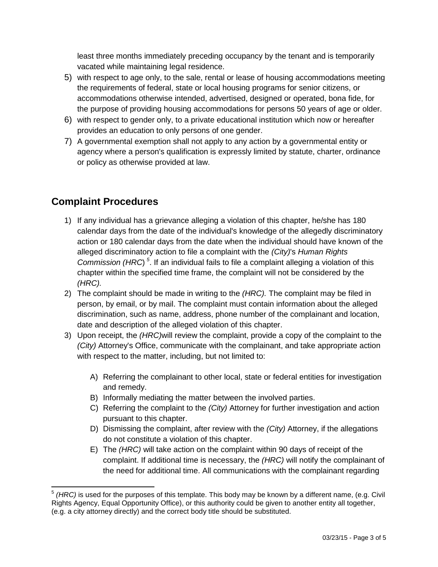least three months immediately preceding occupancy by the tenant and is temporarily vacated while maintaining legal residence.

- 5) with respect to age only, to the sale, rental or lease of housing accommodations meeting the requirements of federal, state or local housing programs for senior citizens, or accommodations otherwise intended, advertised, designed or operated, bona fide, for the purpose of providing housing accommodations for persons 50 years of age or older.
- 6) with respect to gender only, to a private educational institution which now or hereafter provides an education to only persons of one gender.
- 7) A governmental exemption shall not apply to any action by a governmental entity or agency where a person's qualification is expressly limited by statute, charter, ordinance or policy as otherwise provided at law.

## **Complaint Procedures**

- 1) If any individual has a grievance alleging a violation of this chapter, he/she has 180 calendar days from the date of the individual's knowledge of the allegedly discriminatory action or 180 calendar days from the date when the individual should have known of the alleged discriminatory action to file a complaint with the *(City)*'s *Human Rights Commission (HRC*) *[5](#page-1-0)* . If an individual fails to file a complaint alleging a violation of this chapter within the specified time frame, the complaint will not be considered by the *(HRC).*
- 2) The complaint should be made in writing to the *(HRC).* The complaint may be filed in person, by email, or by mail. The complaint must contain information about the alleged discrimination, such as name, address, phone number of the complainant and location, date and description of the alleged violation of this chapter.
- 3) Upon receipt, the *(HRC)*will review the complaint, provide a copy of the complaint to the *(City)* Attorney's Office, communicate with the complainant, and take appropriate action with respect to the matter, including, but not limited to:
	- A) Referring the complainant to other local, state or federal entities for investigation and remedy.
	- B) Informally mediating the matter between the involved parties.
	- C) Referring the complaint to the *(City)* Attorney for further investigation and action pursuant to this chapter.
	- D) Dismissing the complaint, after review with the *(City)* Attorney, if the allegations do not constitute a violation of this chapter.
	- E) The *(HRC)* will take action on the complaint within 90 days of receipt of the complaint. If additional time is necessary, the *(HRC)* will notify the complainant of the need for additional time. All communications with the complainant regarding

<span id="page-2-0"></span><sup>&</sup>lt;sup>5</sup> (HRC) is used for the purposes of this template. This body may be known by a different name, (e.g. Civil Rights Agency, Equal Opportunity Office), or this authority could be given to another entity all together, (e.g. a city attorney directly) and the correct body title should be substituted.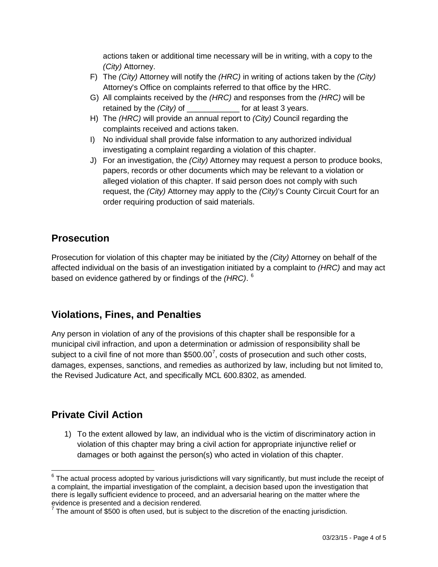actions taken or additional time necessary will be in writing, with a copy to the *(City)* Attorney.

- F) The *(City)* Attorney will notify the *(HRC)* in writing of actions taken by the *(City)* Attorney's Office on complaints referred to that office by the HRC.
- G) All complaints received by the *(HRC)* and responses from the *(HRC)* will be retained by the *(City)* of \_\_\_\_\_\_\_\_\_\_\_\_\_\_ for at least 3 years.
- H) The *(HRC)* will provide an annual report to *(City)* Council regarding the complaints received and actions taken.
- I) No individual shall provide false information to any authorized individual investigating a complaint regarding a violation of this chapter.
- J) For an investigation, the *(City)* Attorney may request a person to produce books, papers, records or other documents which may be relevant to a violation or alleged violation of this chapter. If said person does not comply with such request, the *(City)* Attorney may apply to the *(City)*'s County Circuit Court for an order requiring production of said materials.

## **Prosecution**

Prosecution for violation of this chapter may be initiated by the *(City)* Attorney on behalf of the affected individual on the basis of an investigation initiated by a complaint to *(HRC)* and may act based on evidence gathered by or findings of the *(HRC)*. [6](#page-2-0)

# **Violations, Fines, and Penalties**

Any person in violation of any of the provisions of this chapter shall be responsible for a municipal civil infraction, and upon a determination or admission of responsibility shall be subject to a civil fine of not more than \$500.00<sup>[7](#page-3-0)</sup>, costs of prosecution and such other costs, damages, expenses, sanctions, and remedies as authorized by law, including but not limited to, the Revised Judicature Act, and specifically MCL 600.8302, as amended.

# **Private Civil Action**

1) To the extent allowed by law, an individual who is the victim of discriminatory action in violation of this chapter may bring a civil action for appropriate injunctive relief or damages or both against the person(s) who acted in violation of this chapter.

 $6$  The actual process adopted by various jurisdictions will vary significantly, but must include the receipt of a complaint, the impartial investigation of the complaint, a decision based upon the investigation that there is legally sufficient evidence to proceed, and an adversarial hearing on the matter where the evidence is presented and a decision rendered.

<span id="page-3-0"></span> $<sup>7</sup>$  The amount of \$500 is often used, but is subject to the discretion of the enacting jurisdiction.</sup>